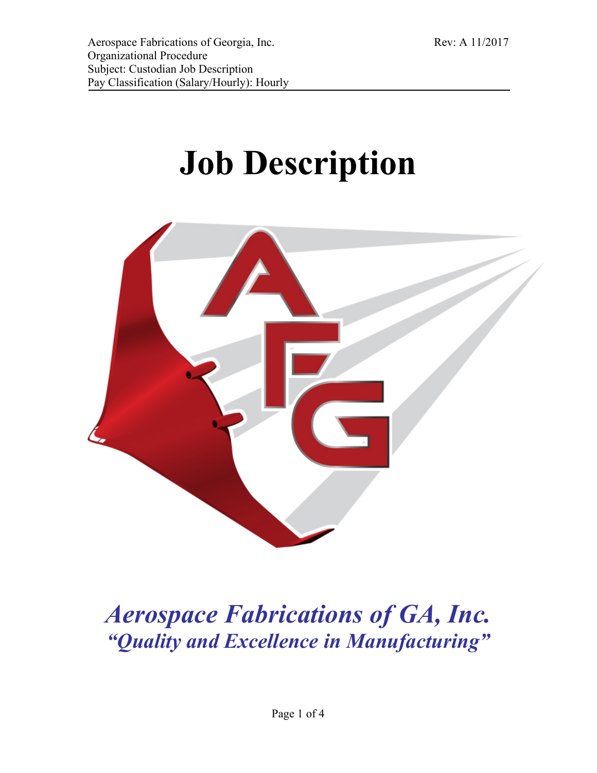# **Job Description**



# *Aerospace Fabrications of GA, Inc. "Quality and Excellence in Manufacturing"*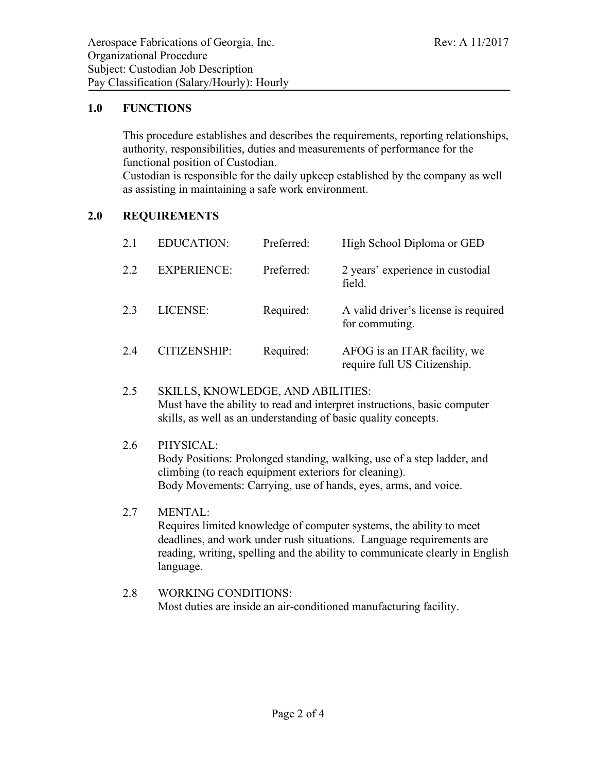#### **1.0 FUNCTIONS**

This procedure establishes and describes the requirements, reporting relationships, authority, responsibilities, duties and measurements of performance for the functional position of Custodian.

Custodian is responsible for the daily upkeep established by the company as well as assisting in maintaining a safe work environment.

## **2.0 REQUIREMENTS**

| 2.1 | <b>EDUCATION:</b>   | Preferred: | High School Diploma or GED                                   |
|-----|---------------------|------------|--------------------------------------------------------------|
| 2.2 | <b>EXPERIENCE:</b>  | Preferred: | 2 years' experience in custodial<br>field.                   |
| 2.3 | LICENSE:            | Required:  | A valid driver's license is required<br>for commuting.       |
| 2.4 | <b>CITIZENSHIP:</b> | Required:  | AFOG is an ITAR facility, we<br>require full US Citizenship. |

#### 2.5 SKILLS, KNOWLEDGE, AND ABILITIES: Must have the ability to read and interpret instructions, basic computer skills, as well as an understanding of basic quality concepts.

#### 2.6 PHYSICAL:

Body Positions: Prolonged standing, walking, use of a step ladder, and climbing (to reach equipment exteriors for cleaning). Body Movements: Carrying, use of hands, eyes, arms, and voice.

#### 2.7 MENTAL:

Requires limited knowledge of computer systems, the ability to meet deadlines, and work under rush situations. Language requirements are reading, writing, spelling and the ability to communicate clearly in English language.

2.8 WORKING CONDITIONS: Most duties are inside an air-conditioned manufacturing facility.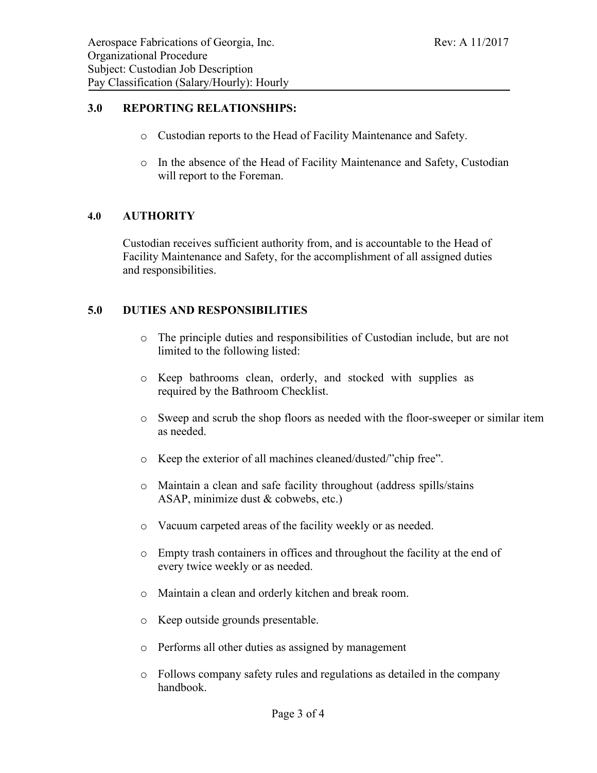#### **3.0 REPORTING RELATIONSHIPS:**

- o Custodian reports to the Head of Facility Maintenance and Safety.
- o In the absence of the Head of Facility Maintenance and Safety, Custodian will report to the Foreman.

#### **4.0 AUTHORITY**

Custodian receives sufficient authority from, and is accountable to the Head of Facility Maintenance and Safety, for the accomplishment of all assigned duties and responsibilities.

#### **5.0 DUTIES AND RESPONSIBILITIES**

- o The principle duties and responsibilities of Custodian include, but are not limited to the following listed:
- o Keep bathrooms clean, orderly, and stocked with supplies as required by the Bathroom Checklist.
- o Sweep and scrub the shop floors as needed with the floor-sweeper or similar item as needed.
- o Keep the exterior of all machines cleaned/dusted/"chip free".
- o Maintain a clean and safe facility throughout (address spills/stains ASAP, minimize dust & cobwebs, etc.)
- o Vacuum carpeted areas of the facility weekly or as needed.
- o Empty trash containers in offices and throughout the facility at the end of every twice weekly or as needed.
- o Maintain a clean and orderly kitchen and break room.
- o Keep outside grounds presentable.
- o Performs all other duties as assigned by management
- o Follows company safety rules and regulations as detailed in the company handbook.